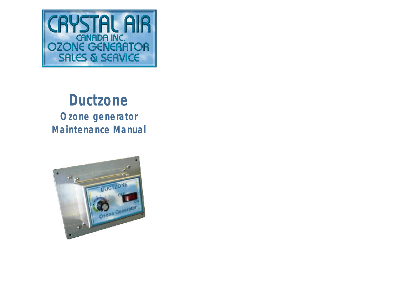

# **Ductzone**

**Ozone generator Maintenance Manual**

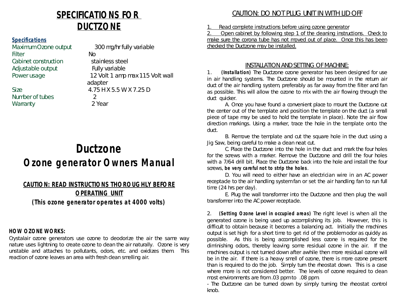## *SPECIFICATIONS FOR DUCTZONE*

## **Specifications**

Maximum Ozone output 300 mg/hr fully variable Filter No Cabinet construction stainless steel Adjustable output Fully variable

Number of tubes 2 Warranty 2 Year

Power usage 12 Volt 1 amp max 115 Volt wall adapter Size 2.75 H X 5.5 W X 7.25 D

## **Ductzone Ozone generator Owners Manual**

## **CAUTION: READ INSTRUCTIONS THOROUGHLY BEFORE OPERATING UNIT**

**(This ozone generator operates at 4000 volts)**

## *HOW OZONE WORKS:*

Crystalair ozone generators use ozone to deodorize the air the same way nature uses lightning to create ozone to clean the air naturally. Ozone is very unstable and attaches to pollutants, odors, etc. and oxidizes them. This reaction of ozone leaves an area with fresh clean smelling air.

## CAUTION: DO NOT PLUG UNIT IN WITH LID OFF

1. Read complete instructions before using ozone generator

2. Open cabinet by following step 1 of the cleaning instructions. Check to make sure the corona tube has not moved out of place. Once this has been checked the Ductzone may be installed.

### INSTALLATION AND SETTING OF MACHINE:

1. **(Installation)** The Ductzone ozone generator has been designed for use in air handling systems. The Ductzone should be mounted in the return air duct of the air handling system, preferably as far away from the filter and fan as possible. This will allow the ozone to mix with the air flowing through the duct quicker.

A. Once you have found a convenient place to mount the Ductzone cut the center out of the template and position the template on the duct (a small piece of tape may be used to hold the template in place). Note the air flow direction markings. Using a marker, trace the hole in the template onto the duct.

B. Remove the template and cut the square hole in the duct using a Jig Saw, being careful to make a clean neat cut.

C. Place the Ductzone into the hole in the duct and mark the four holes for the screws with a marker. Remove the Ductzone and drill the four holes with a 7/64 drill bit. Place the Ductzone back into the hole and install the four screws, *be very careful not to strip the holes*.

D. You will need to either have an electrician wire in an AC power receptacle to the air handling system fan or set the air handling fan to run full time (24 hrs per day).

E. Plug the wall transformer into the Ductzone and then plug the wall transformer into the AC power receptacle.

2. **(Setting Ozone Level in occupied areas)** The right level is when all the generated ozone is being used up accomplishing its job. However, this is difficult to obtain because it becomes a balancing act. Initially the machines output is set high for a short time to get rid of the problem odor as quickly as possible. As this is being accomplished less ozone is required for the diminishing odors, thereby leaving some residual ozone in the air. If the machines output is not turned down after awhile then more residual ozone will be in the air. If there is a heavy smell of ozone, there is more ozone present than is required to do the job. Simply turn the rheostat down. This is a case where more is not considered better. The levels of ozone required to clean most environments are from .03 ppm to .08 ppm.

- The Ductzone can be turned down by simply turning the rheostat control knob.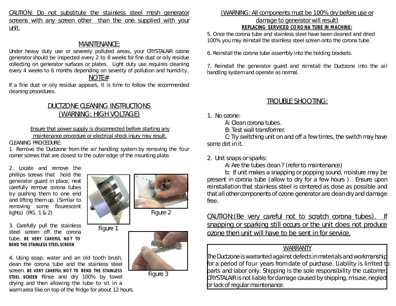CAUTION: Do not substitute the stainless steel mesh generator screens with any screen other than the one supplied with your unit.

## MAINTENANCE:

Under heavy duty use or severely polluted areas, your CRYSTALAIR ozone generator should be inspected every 2 to 8 weeks for fine dust or oily residue collecting on generator surfaces or plates. Light duty use requires cleaning every 4 weeks to 6 months depending on severity of pollution and humidity.

## NOTE#

If a fine dust or oily residue appears, it is time to follow the recommended cleaning procedures.

## DUCTZONE CLEANING INSTRUCTIONS (WARNING: HIGH VOLTAGE)

### Ensure that power supply is disconnected before starting any

maintenance procedure or electrical shock injury may result.

#### CLEANING PROCEDURE:

1. Remove the Ductzone from the air handling system by removing the four corner screws that are closest to the outer edge of the mounting plate.

2. Locate and remove the phillips screws that hold the generator guard in place, next carefully remove corona tubes by pushing them to one end and lifting them up. (Similar to removing some flourescent lights) (FIG. 1 & 2)

3. Carefully pull the stainless steel screen off the corona tube. **BE VERY CAREFUL NOT TO BEND THE STAINLESS STEEL SCREEN**



Figure 1

4. Using soap, water and an old tooth brush, clean the corona tube and the stainless steel screen. **BE VERY CAREFUL NOT TO BEND THE STAINLESS STEEL SCREEN** Rinse and dry 100% by towel drying and then allowing the tube to sit in a warm area like on top of the fridge for about 12 hours.





Figure 3

### (WARNING: All components must be 100% dry before use or damage to generator will result) **REPLACING SERVICED CORONA TUBE IN MACHINE:**

5. Once the corona tube and stainless steel have been cleaned and dried 100% you may reinstall the stainless steel screen onto the corona tube.

6. Reinstall the corona tube assembly into the holding brackets.

7. Reinstall the generator guard and reinstall the Ductzone into the air handling system and operate as normal.

## TROUBLE SHOOTING:

1. No ozone:

A: Clean corona tubes.

B: Test wall transformer.

C: Try switching unit on and off a few times, the switch may have some dirt in it.

2. Unit snaps or sparks:

A: Are the tubes clean ? (refer to maintenance)

b: If unit makes a snapping or popping sound, moisture may be present in corona tube (allow to dry for a few hours ). Ensure upon reinstallation that stainless steel is centered as close as possible and that all other components of ozone generator are clean dry and damage free.

CAUTION:(Be very careful not to scratch corona tubes). If snapping or sparking still occurs or the unit does not produce ozone then unit will have to be sent in for service.

## WARRANTY

The Ductzone is warranted against defects in materials and workmanship for a period of four years from date of purchase. Liability is limited to parts and labor only. Shipping is the sole responsibility the customer. CRYSTALAIR is not liable for damage caused by shipping, misuse,neglect or lack of regular maintenance.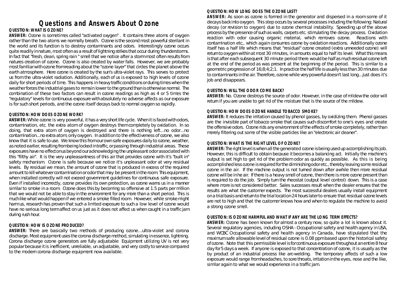## **Questions and Answers About Ozone**

#### **QUESTION:** *WHAT IS OZONE?*

**ANSWER:** Ozone is sometimes called "activated oxygen" . It contains three atoms of oxygen rather than the two atoms we normally breath. Ozone is the second most powerful sterilant in the world and its function is to destroy contaminants and odors. Interestingly ozone occurs quite readily in nature, most often as a result of lightning strikes that occur during thunderstorms. In fact that "fresh, clean, spring rain " smell that we notice after a storm most often results from natures creation of ozone. Ozone is also created by water falls. However, we are probably most familiar with ozone from reading about the "ozone layer" that circles the planet above the earth atmosphere. Here ozone is created by the sun's ultra-violet rays. This serves to protect us from the ultra-violet radiation. Additionally, each of us is exposed to high levels of ozone daily for short periods of time. This happens in heavy trafficconditions or during times when the weather forces the industrial gases to remain lower to the ground than is otherwise normal. The combination of these two factors can result in ozone readings as high as 4 or 5 times the "regulatory" levels for continuous exposure with absolutely no adverse affects as our exposure is for such short periods, and the ozone itself decays back to normal oxygen so rapidly.

#### **QUESTION:** *HOW DOES OZONE WORK?*

**ANSWER:** While ozone is very powerful, it has a very shortlife cycle. When it is faced with odors, contamination, etc. the extra atom of oxygen destroys them completely by oxidation. In so doing, that extra atom of oxygen is destroyed and there is nothing left...no odor...no contamination...no extra atom, only oxygen. In addition to the effectiveness of ozone, we also know that it is safe to use. We know this from our own safe exposures daily to ozone, weather, as noted earlier, resulting from being locked in traffic, or passing through industrial areas. These exposures have no effectonus beyond our acknowledging the unpleasant odor associated with this "filthy air". It is the very unpleasantness of this air that provides ozone with it's "built in" safety mechanism. Ozone is safe because we notice it's unpleasant odor at very residual levels. By residual we mean, the amount of ozone that is produced in excess of the required amount to kill whatever contamination or odor that may be present in the room. This equipment, when installed correctly will not exceed government guidelines for continuous safe exposure. Even if installed incorrectly, ozone provides its own protection, as ozone warns us in a manner similar to smoke in a room. Ozone does this by becoming so offensive at 1.5 parts per million that we would not be able to stay in the environment for any more than a short period. This is much like what would happen if we entered a smoke filled room. However, while smoke might harm us, research has proven that such a limited exposure to such a low level of ozone would have no serious long term affect on us just as it does not affect us when caught in a traffic jam during rush hour.

#### **QUESTION**: *HOW IS OZONE PRODUCED?*

**ANSWER:** There are basically two methods of producing ozone...ultra-violet and corona discharge. Most equipment uses the corona discharge method, simulating in essence, lightning. Corona discharge ozone generators are fully adjustable Equipment utilizing UV is not very popular because itis inefficient, unreliable, un adjustable, and very costly to service compared to the modern corona discharge equipment now available.

#### **QUESTION:** *HOW LONG DOES THE OZONE LAST?*

**ANSWER:** As soon as ozone is formed in the generator and dispersed in a room some of it decays back into oxygen. This step occurs by several processes including the following: Natural decay (or revision to oxygen) due to ozone chemical instability. Speeding up of the above process by the presence of such as walls, carpets etc. stimulating the decay process. Oxidation reaction with odor causing organic material, which removes ozone. Reactions with contamination etc., which again consumes ozone by oxidation reactions. Additionally ozone itself has a half life which means that "residual" ozone created (extra unneeded ozone) will return to oxygen within at most 30 minutes, in amounts equal to half its level. What this means is that after each subsequent 30 minute period there would be half as much residual ozone left at the end of the period as was present at the beginning of the period. This is similar to a geometric progression of 16;8;4;2;1. In practice the half life is usually less than 30 minutes due to contaminants in the air. Therefore, ozone while very powerful doesn't last long...just does it's job and disappears.

#### **QUESTION:** *WILL THE ODOR COME BACK?*

**ANSWER:** No. Ozone destroys the source of odor. However, in the case of mildew the odor will return if you are unable to get rid of the moisture that is the source of the mildew.

#### **QUESTION:** *HOW DOES OZONE HANDLE TOBACCO SMOKE***?**

**ANSWER:** It reduces the irritation caused by phenol gasses, by oxidizing them. Phenol gasses are the invisible part of tobacco smoke that causes such discomfort to one's eyes and create the offensive odors. Ozone rids any environment of the effects of smoke completely, rather than merely filtering out some of the visible particles like an "electronic air cleaner".

#### **QUESTION:** *WHAT IS THE RIGHT LEVEL OF OZONE?*

**ANSWER:** The right level is when all the generated ozone is being used up accomplishing its job. However, this is difficult to obtain because it becomes a balancing act. Initially the machine's output is set high to get rid of the problem odor as quickly as possible. As this is being accomplished less ozone is required forthe diminishingodor etc., thereby leaving some residual ozone in the air. If the machine output is not turned down after awhile then more residual ozone will be in he air. If there is a heavy smell of ozone, then there is more ozone present than is required to do the job. Simply turn the rheostat (output level control) down. This is a case where more is not considered better. Sales successes result when the dealer ensures that the results are what the customer expects. The most successful dealers usually install equipment on a trial basis and return to the trial location 24 hours later to ensure that residual ozone levels are not to high and that the customer knows how and when to regulate the machine to avoid a strong ozone smell.

#### **QUESTION:** *IS OZONE HARMFUL AND WHAT IF ANY ARE THE LONG TERM EFFECTS?*

**ANSWER:** Ozone has been known for almost a century now, so quite a lot is known about it. Several regulatory agencies, including OSHA - Occupational safety and health agency in USA, and WCBC Occupational safety and health agency in Canada, have stipulated that the maximum safe allowable level of residual ozone is 0.08 ppm based upon the historical safety of ozone. Note that this permissible level is forcontinuous exposure throughout an entire 8 hour day for 5 days a week. If anyone is exposed to that concentration of ozone, it is usually as the by product of an industrial process like arc-welding. The temporary affects of such a low exposure would range from headaches, to sore throats, irritation in the eyes, nose and the like, similar again to what we would experience in a traffic jam.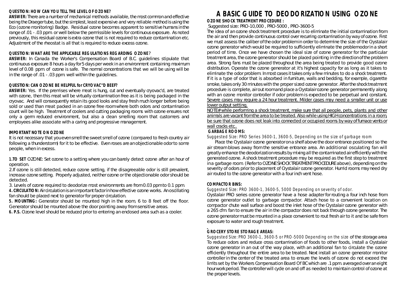#### **QUESTION:** *HOW CAN YOU TELL THE LEVEL OF OZONE?*

**ANSWER:** There are a number of mechanical methods available, the mostcommon and effective being the Draeger tube, but the simplest, least expensive and very reliable method is using the Eco (ozone monitoring) Badge. Residual ozone becomes apparent to sensitive humans in the range of .01 - .03 ppm. or well below the permissible levels for continuous exposure. As noted previously, this residual ozone is extra ozone that is not required to reduce contamination etc. Adjustment of the rheostat is all that is required to reduce excess ozone.

#### **QUESTION:** *WHAT ARE THE APPLICABLE REGULATIONS REGARDING OZONE*?

**ANSWER:** In Canada the Worker's Compensation Board of B.C. guidelines stipulate that continuous exposure 8 hours a day for 5 days per week in an environment containing maximum level of 0.08 ppm. of ozone is safe. The normal concentrations that we will be using will be in the range of .01 - .03 ppm. well within the guidelines.

#### **QUESTION:** *CAN OZONE BE HELPFUL for CRYOVAC''D BEEF?*

**ANSWER:** Yes. If the premises where meat is hung, cut and eventually cryovac'd, are treated with ozone, then this meat will be virtually contamination free as it is being packaged in the cryovac. And will consequently retain its good looks and stay fresh much longer before being sold or used than meat packed in an ozone free room where both odors and contamination count will be high. Treatment of coolers and cutting packaging rooms with ozone ensures not only a germ reduced environment, but also a clean smelling room that customers and employees alike associate with a caring and progressive management.

#### **IMPORTANT NOTE ON OZONE**

It is not necessary that you even smell the sweet smell of ozone (compared to fresh country air following a thunderstorm) for it to be effective. Even roses are an objectionable odor to some people, when in excess.

**1.TO SET** OZONE: Set ozone to a setting where you can barely detect ozone after an hour of operation.

2.If ozone is still detected, reduce ozone setting, if the disagreeable odor is still prevalent, increase ozone setting. Properly adjusted, neither ozone or the objectionable odor should be detected.

3. Levels of ozone required to deodorize most environments are from 0.03 ppm to 0.1 ppm.

**4. CIRCULATION:** Aircirculation is an important factor in how effective ozone works. An oscillating fan should be placed next to generator for proper circulation.

**5. MOUNTING:** Generator should be mounted high in the room, 6 to 8 feet off the floor. Generator should be mounted above the door pointing away from sensitive areas.

**6. P.S.** Ozone level should be reduced prior to entering an enclosed area such as a cooler.

## **A BASIC GUIDE TO DEODORIZATION USING OZONE**

#### **OZONE SHOCK TREATMENT PROCEDURE :**

Suggested size: PRO-10,000 , PRO-5000 , PRO-3600-5

The idea of an ozone shock treatment procedure is to eliminate the initial contamination from the air and then provide continuous control over recurring contamination by way of ozone. First we must assess the caliber of the odor problem in order to determine the size of the Crystalair ozone generator which would be required to sufficiently eliminate the problem odor in a short period of time. Once we have chosen the ideal size of ozone generator for the particular treatment area, the ozone generator should be placed pointing in the direction of the problem area. Strong fans must be placed throughout the area being treated to provide good ozone distribution. Operate the ozone generator at it's highest capacity for as long as it takes to eliminate the odor problem. In mostcases ittakes only a few minutes to do a shock treatment. If it is a type of odor that is absorbed in furniture, walls and bedding, for example, cigarette smoke, takes only 30 minutes with the proper sized ozone generator. After the shock treatment procedure is complete, air out room and place a Crystalair ozone generator permanently along with an ozone monitor controller if odor problem is expected to be perpetual and constant*.* Severe cases may require a 24 hour treatment. Milder cases may need a smaller unit or use lower output setting.

NOTE# while performing a shock treatment, make sure that all people, pets, plants and other animals are vacant from the area to be treated. Also while using HIGH concentrations in a room, be sure that ozone does not leak into connected or occupied rooms by way of furnace vents or wall cracks etc..

#### **GARBAGE ROOMS***:*

*Suggested Size: PRO Series 3600-1, 3600-5, Depending on the size of garbage room*

 Place the Crystalair ozone generator on a shelf above the door entrance positioned so the air stream blows away from the sensitive entrance area. An additional osculating fan will greatly enhance the deodorization results by mixing all the contaminated air efficiently with the generated ozone. A shock treatment procedure may be required as the first step to treatment in a garbage room. (Refer to OZONE SHOCK TREATMENT PROCEDURE above), depending on the severity of odors prior to placement of Crystalair ozone generator. Humid rooms may need dry air routed to the ozone generator with a four inch vent hose.

#### **COMPACTOR BINS:**

#### *Suggested Size: PRO 3600-1, 3600-5, 5000 Depending on severity of odor.*

Crystalair PRO series ozone generator have a hose adapter for routing a four inch hose from ozone generator outlet to garbage compactor. Attach hose to a convenient location on compactor chute wall surface and boost the inlet hose of the Crystalair ozone generator with a 265 cfm. fan to ensure the air in the compactor does not back through ozone generator. The ozone generator must be mounted in a place convenient to rout fresh air to it and be safe from exposure to water and rough treatment.

#### **GROCERY STORE STORAGE AREAS:**

*Suggested Size: PRO 3600-1, 3600-5 or PRO-5000 Depending on the size* of the storage area To reduce odors and reduce cross contamination of foods to other foods, install a Crystalair ozone generator in an out of the way place, with an additional fan to circulate the ozone efficiently throughout the entire area to be treated. Next install an ozone generator monitor controller in the center of the treated area to ensure the levels of ozone do not exceed the limits set by the Workers Compensation Board Of BC which are .1 ppm. averaged over an eight hour work period. The controller will cycle on and off as needed to maintain control of ozone at the proper levels.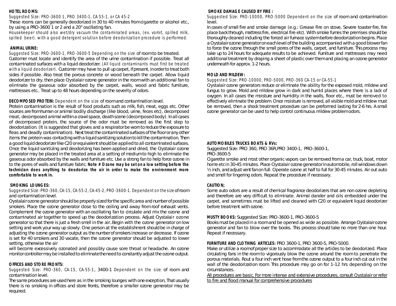#### **HOTEL ROOMS:**

*Suggested Size: PRO-3600 1, PRO 3400-1, CA 55-1, or CA 45-2*

These rooms can be generally deodorized in 30 to 40 minutes from cigarette or alcohol etc., by using a PRO-3600 1 or 2 and a 20" oscillating fan.

*Housekeeper should also wet/dry vacuum the contaminated areas, (ex. vomit, spilled milk, spilled beer). with a good detergent solution before deodorization procedure is performed.*

#### **ANIMAL URINE:**

*Suggested Size: PRO-3600-1, PRO-3600-5 Depending on the size* of room to be treated. Customer must locate and identify the area of the urine contamination if possible. Treat all contaminated surfaces with a liquid deodorizer. *(All liquid contaminants must first be treated with a liquid deodorizer).* Customer may have to pull up carpet, if present, in order to treat both sides if possible. Also treat the porous concrete or wood beneath the carpet. Allow liquid deodorizer to dry, then place Crystalair ozone generator in the room with an additional fan to eliminate the gaseous odor absorbed by the carpet, walls, wood and fabric furniture, mattresses etc.. Treat up to 48 hours depending on the severity of odors.

#### **DECOMPOSED PROTEIN:** *Dependent on the size* of room and contamination level.

Protein contamination is the result of food products such as milk, fish, meat, eggs etc. Other sources are from human or animal bodily discharge (like blood, urine, feces etc), decomposed meat, decomposed animal within a crawl space, death scene (decomposed body). In allcases of decomposed protein, the source of the odor must be removed as the first step to deodorization. (It is suggested that gloves and a respirator be worn to reduce the exposure to fleas and deadly contamination). Next treat the contaminated surfaces of the floor or any other items the protein was contacting with a liquid sanitizing solution to kill the contamination. Then a good liquid deodorizer like C20 or equivalent should be applied to allcontaminated surfaces. Once the liquid sanitizing and deodorizing has been applied and dried, the Crystalair ozone generator may be placed in the treated area at a setting of medium to high to eliminate the gaseous odor absorbed by the walls and furniture etc. Use a strong fan to help force ozone in to the pores of walls and furniture fabric. *Note #* **Ozone may be set on a low setting before the technician does anything to deodorize the air in order to make the environment more comfortable to work in.**

#### **SMOKING LOUNGES:**

#### *Suggested Size: PRO-360, CA-15, CA-55-2, CA-45-2, PRO-3600-1. Dependent on thesize*of room and contamination level.

Crystalair ozone generator should be properly sized forthe specific area and number of possible smokers. Place the ozone generator close to the ceiling and away from roof exhaust vents. Complement the ozone generator with an oscillating fan to circulate and mix the ozone and contaminated air together to speed up the deodorization process. Adjust Crystalair ozone generator so that there is just a fresh smell in the air..Begin with the ozone generator on low setting and work your way up slowly. One person at the establishment should be in charge of adjusting the ozone generator output as the number of smokers increase or decrease. If ozone is set for 40 smokers and 30 vacate, then the ozone generator should be adjusted to lower setting, otherwise the air

will become excessively ozonated and possibly cause sore throat or headache. An ozone monitorcontroller may be installed to eliminatetheneed to constantly adjust the ozone output.

#### **OFFICES AND STORE FRONTS:**

*Suggested Size: PRO-360, CA-15, CA-55-1*, 3400-1 *Dependent on the size* of room and contamination level.

The same procedures are used here as in the smoking lounges with one exception, That usually there is no smoking in offices and store fronts, therefore a smaller ozone generator may be required.

#### **SMOKE DAMAGE CAUSED BY FIRE :**

*Suggested Size: PRO-10000, PRO-5000 Dependent on the size* of room and contamination level.

In cases of small fire and smoke damage (e.g.: Grease Fire on stove, Severe toaster fire, fire place back through, mattress fire, electrical fire etc). With smoke fumes the premises should be thoroughly cleaned including the forced air furnace system before deodorization begins. Place a Crystalair ozone generator on each level of the building accompanied with a good blower fan to force the ozone through the small pores of the walls, carpet, and furniture. This process may take up to 24 hours for adequate results to be achieved. Furniture and mattresses may need additional treatment by draping a sheet of plastic over them and placing an ozone generator underneath for approx. 1-2 hours.

#### **MOLD AND MILDEW***:*

#### *Suggested Size: PRO-10000, PRO-5000, PRO-360 CA-15 or CA-55-1*

Crystalair ozone generators reduce or eliminate the ability for the exposed mold, mildew and fungus to grow. Mold and mildew grow in dark and humid places where there is a lack of oxygen. In all cases the moisture and humidity in the walls, floor etc., must be removed to effectively eliminate the problem. Once moisture is removed, all visible mold and mildew must be removed, then a shock treatment procedure can be preformed lasting for 2-6 hrs. A small ozone generator can be used to help control continuous mildew problem odors.

#### **AUTOMOBILES TRUCKS BOATS & RVs:**

Suggested Size: PRO 360, PRO 36R,PRO 3400-1, PRO-3600-1, PRO-3600-5

Cigarette smoke and most other organic vapors can be removed from a car, truck, boat, motor home etcin 30-45 minutes. Place Crystalair ozone generator in automobile, roll windows down ½ inch, and adjust vent fan on full. Operate ozone at half to full for 30-45 minutes. Air out auto and smell for lingering odors. Repeat the procedure if necessary.

#### **CAUTION;**

Some auto odors are a result of chemical fragrance deodorizers that are non ozone depleting and therefore are very difficult to eliminate. Animal dander and oils embedded under the carpet, and sometimes must be lifted and cleaned with C20 or equivalent liquid deodorizer before treatment with ozone.

#### **MUSTY BOOKS:** Suggested Size: PRO-3600-1, PRO-3600-5

Books must be placed in a room and be opened as wide as possible. Arrange Crystalair ozone generator and fan to blow over the books. This process should take no more than one hour. Repeat if necessary.

#### **FURNITURE AND CLOTHING ARTICLES:** PRO 3600-1, PRO 3600-5, PRO-5000.

Make or utilize a room of proper size to accommodate all the articles to be deodorized. Place circulating fans in the room to vigorously blow the ozone around the room to penetrate the porous materials. Rout a four inch vent hose from the ozone output to a four inch cut out in the wall of the deodorization room. This procedure may go on for 1-12 hrs depending on the circumstances.

All procedures are basic. For more intense and extensive procedures, consult Crystalair or refer to fire and flood manual for comprehensive procedures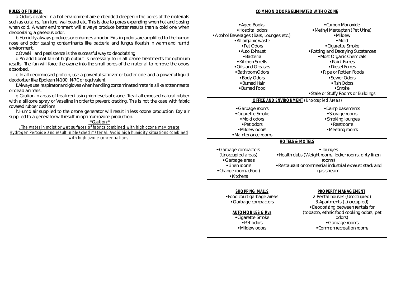#### **RULES OF THUMB:**

a.Odors created in a hot environment are embedded deeper in the pores of the materials such as curtains, furniture, wallboard etc. This is due to pores expanding when hot and closing when cold. A warm environment will always produce better results than a cold one when deodorizing a gaseous odor.

b.Humidity always produces or enhances an odor. Existing odors are amplified to the human nose and odor causing contaminants like bacteria and fungus flourish in warm and humid environment.

c.Overkill and persistence is the successful way to deodorizing.

d.An additional fan of high output is necessary to in all ozone treatments for optimum results. The fan will force the ozone into the small pores of the material to remove the odors absorbed.

e.In all decomposed protein, use a powerful satirizer or bactericide and a powerful liquid deodorizer like Epolean N-100, N-7C or equivalent.

f.Always use respirator and gloves when handling contaminated materials like rotten meats or dead animals.

g.Caution in areas of treatment using high levels of ozone. Treat all exposed natural rubber with a silicone spray or Vaseline in order to prevent cracking. This is not the case with fabric covered rubber cushions

h.Humid air supplied to the ozone generator will result in less ozone production. Dry air supplied to a generator will result in optimum ozone production.

\*Caution:\*

*. The water in moist or wet surfaces of fabrics combined with high ozone may create Hydrogen Peroxide and result in bleached material. Avoid high humidity situations combined with high ozone concentrations.*

#### **COMMON ODORS ELIMINATED WITH OZONE**

| •Aged Books<br>• Hospital odors<br>• Alcohol Beverages (Bars, Lounges etc.)<br>· All organic waste<br>•Pet Odors<br>• Auto Exhaust<br>$\bullet$ Bacteria<br>•Kitchen Smells<br>•Oils and Greases | •Carbon Monoxide<br>•Methyl Mercaptan (Pet Urine)<br>•Mildew<br>$\bullet$ Mold<br>•Cigarette Smoke<br>. Rotting and Decaying Substances<br>• Most Organic Chemicals<br>• Paint Fumes<br>•Diesel Fumes |
|--------------------------------------------------------------------------------------------------------------------------------------------------------------------------------------------------|-------------------------------------------------------------------------------------------------------------------------------------------------------------------------------------------------------|
| • Bathroom Odors                                                                                                                                                                                 | •Ripe or Rotten Foods                                                                                                                                                                                 |
| • Body Odors                                                                                                                                                                                     | • Sewer Odors                                                                                                                                                                                         |
| •Burned Hair                                                                                                                                                                                     | •Fish Odors                                                                                                                                                                                           |
| •Burned Food                                                                                                                                                                                     | $\bullet$ Smoke                                                                                                                                                                                       |
|                                                                                                                                                                                                  | • Stale or Stuffy Rooms or Buildings                                                                                                                                                                  |
| <b>OFFICE AND ENVIRONMENT</b> (Unoccupied Areas)                                                                                                                                                 |                                                                                                                                                                                                       |
| •Garbage rooms<br>•Cigarette Smoke<br>• Mold odors<br>• Pet odors<br>•Mildew odors<br>• Maintenance rooms                                                                                        | •Damp basements<br>• Storage rooms<br>·Smoking lounges<br>• Restrooms<br>•Meeting rooms                                                                                                               |
| <b>HOTELS &amp; MOTELS</b>                                                                                                                                                                       |                                                                                                                                                                                                       |
| • Garbage compactors<br>(Unoccupied areas)<br>•Garbage areas<br>•Linen rooms<br>•Change rooms (Pool)<br>$\bullet$ Kitchens                                                                       | • lounges<br>. Health clubs (Weight rooms, locker rooms, dirty linen<br>rooms)<br>. Restaurant or commercial industrial exhaust stack and<br>gas stream.                                              |
|                                                                                                                                                                                                  |                                                                                                                                                                                                       |

*SHOPPING MALLS* • Food court garbage areas

CGarbage compactors

#### *AUTOMOBILES & Rvs*

• Cigarette Smoke  $\textcolor{blue}{\bullet}$  Pet odors • Mildew odors

*PROPERTY MANAGEMENT*

2.Rental houses (Unoccupied) 3.Apartments (Unoccupied) • Deodorizing between rentals for (tobacco, ethnic food cooking odors, pet odors) CGarbage rooms • Common recreation rooms